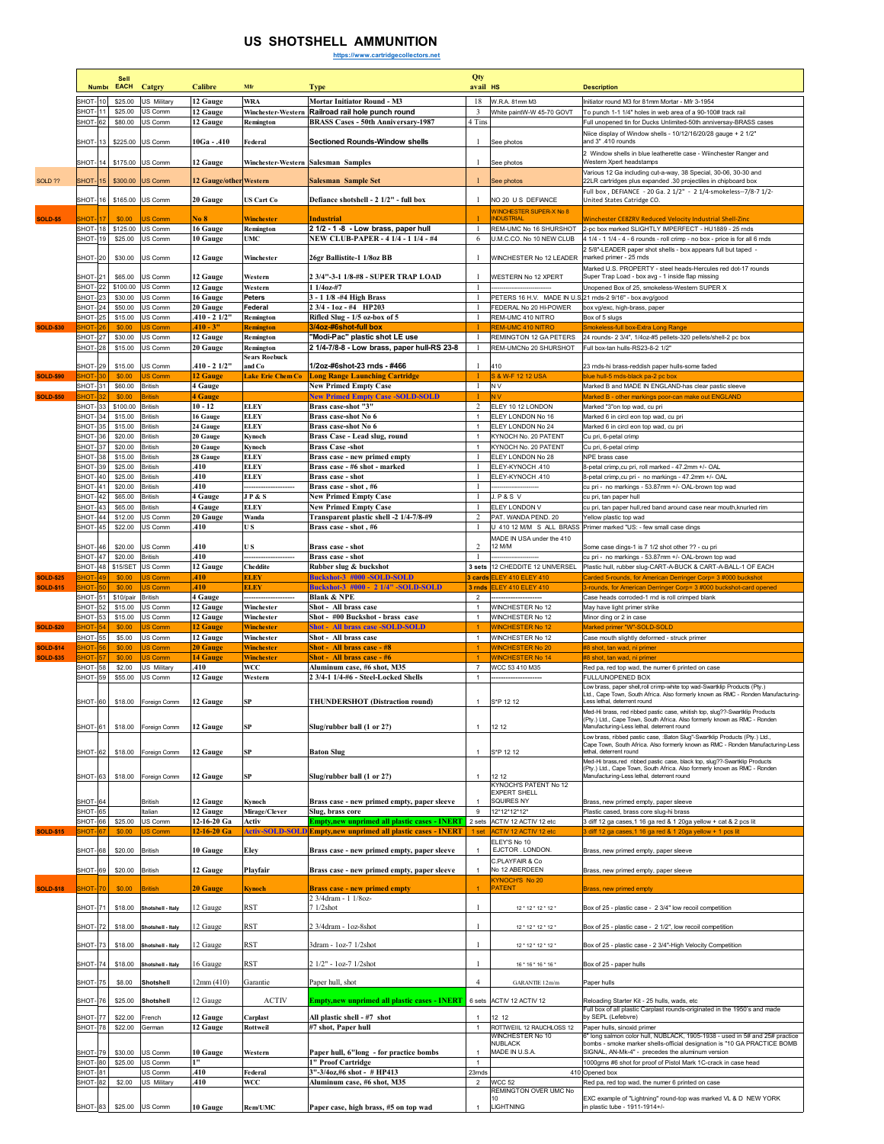## **US SHOTSHELL AMMUNITION**

**https://www.cartridgecollectors.net**

|                  |                                  | <b>Numbe</b> | Sell<br>EACH                       | Catgry                           | <b>Calibre</b>              | Mfr                                  | <b>Type</b>                                                                                                           | Qty<br>avail HS                         |                                                          | <b>Description</b>                                                                                                                                             |
|------------------|----------------------------------|--------------|------------------------------------|----------------------------------|-----------------------------|--------------------------------------|-----------------------------------------------------------------------------------------------------------------------|-----------------------------------------|----------------------------------------------------------|----------------------------------------------------------------------------------------------------------------------------------------------------------------|
|                  | SHOT                             |              | \$25.00                            | US Militan                       | 12 Gauge                    | <b>WRA</b>                           | Mortar Initiator Round - M3                                                                                           | 18                                      | W.R.A. 81mm M3                                           | Initiator round M3 for 81mm Mortar - Mfr 3-1954                                                                                                                |
|                  | <b>SHOT-11</b>                   |              | \$25.00                            | US Comm                          | 12 Gauge                    | Winchester-Western                   | Railroad rail hole punch round                                                                                        | 3                                       | White paintW-W 45-70 GOVT                                | To punch 1-1 1/4" holes in web area of a 90-100# track rail                                                                                                    |
|                  | SHOT-62                          |              | \$80.00                            | US Comm                          | 12 Gauge                    | Remington                            | <b>BRASS Cases - 50th Anniversary-1987</b>                                                                            | 4 Tins                                  |                                                          | Full unopened tin for Ducks Unlimited-50th anniversay-BRASS cases                                                                                              |
|                  | SHOT-13                          |              | \$225.00                           | US Comm                          | 10Ga - .410                 | Federal                              | Sectioned Rounds-Window shells                                                                                        | -1                                      | See photos                                               | Niice display of Window shells - 10/12/16/20/28 gauge + 2 1/2"<br>and 3".410 rounds                                                                            |
|                  |                                  |              |                                    |                                  |                             |                                      |                                                                                                                       |                                         |                                                          | 2 Window shells in blue leatherette case - Wiinchester Ranger and                                                                                              |
|                  | <b>SHOT-14</b>                   |              |                                    | \$175.00 US Comm                 | 12 Gauge                    |                                      | Winchester-Western Salesman Samples                                                                                   |                                         | See photos                                               | Western Xnert headstamps<br>Various 12 Ga including cut-a-way, 38 Special, 30-06, 30-30 and                                                                    |
| <b>SOLD ??</b>   | <b>SHOT-15</b>                   |              | \$300.00                           | US Comm                          | 12 Gauge/other Western      |                                      | Salesman Sample Set                                                                                                   |                                         | See photos                                               | 22LR cartridges plus expanded .30 projectiles in chipboard box                                                                                                 |
|                  | <b>SHOT-16</b>                   |              | \$165.00                           | US Comm                          | 20 Gauge                    | US Cart Co                           | Defiance shotshell - 2 1/2" - full box                                                                                | $\mathbf{1}$                            | NO 20 U S DEFIANCE                                       | Full box, DEFIANCE - 20 Ga. 2 1/2" - 2 1/4-smokeless--7/8-7 1/2-<br>United States Catridge CO.                                                                 |
|                  |                                  |              |                                    |                                  |                             |                                      |                                                                                                                       |                                         | <b>WINCHESTER SUPER-X No 8</b>                           |                                                                                                                                                                |
| <b>SOLD-\$5</b>  | <b>HOT</b>                       |              | \$0.00                             | JS Comm                          | No 8                        | Winchester                           | Industrial                                                                                                            | -1                                      | <b>NDUSTRIA</b>                                          | <b>Winchester CE8ZRV Reduced Velocity Industrial Shell-Zinc</b><br>2-pc box marked SLIGHTLY IMPERFECT - HU1889 - 25 rnds                                       |
|                  | <b>SHOT-18</b><br>SHOT-19        |              | \$125.00<br>\$25.00                | US Comm<br>US Comm               | 16 Gauge<br>10 Gauge        | Remington<br><b>UMC</b>              | 2 1/2 - 1 -8 - Low brass, paper hull<br><b>NEW CLUB-PAPER - 4 1/4 - 1 1/4 - #4</b>                                    | 6                                       | REM-UMC No 16 SHURSHOT<br>U.M.C.CO. No 10 NEW CLUB       | 4 1/4 - 1 1/4 - 4 - 6 rounds - roll crimp - no box - price is for all 6 rnds                                                                                   |
|                  |                                  |              |                                    |                                  |                             |                                      |                                                                                                                       |                                         |                                                          | 2 5/8"-LEADER paper shot shells - box appears full but taped -                                                                                                 |
|                  | SHOT-20                          |              | \$30.00                            | US Comm                          | 12 Gauge                    | Winchester                           | 26gr Ballistite-1 1/8oz BB                                                                                            |                                         | WINCHESTER No 12 LEADER                                  | marked primer - 25 rnds<br>Marked U.S. PROPERTY - steel heads-Hercules red dot-17 rounds                                                                       |
|                  | SHOT-21                          |              | \$65.00                            | US Comm                          | 12 Gauge                    | Western                              | 2 3/4"-3-1 1/8-#8 - SUPER TRAP LOAD                                                                                   |                                         | WESTERN No 12 XPERT                                      | Super Trap Load - box avg - 1 inside flap missing                                                                                                              |
|                  | <b>SHOT-22</b><br><b>SHOT-23</b> |              | \$100.00<br>\$30.00                | US Comm<br>US Comm               | 12 Gauge<br>16 Gauge        | Western<br><b>Peters</b>             | $11/40z + 7$<br>3 - 1 1/8 -#4 High Brass                                                                              | $\mathbf{1}$<br>$\mathbf{1}$            | PETERS 16 H.V. MADE IN U.S.21 mds-2 9/16" - box avg/good | Unopened Box of 25, smokeless-Western SUPER X                                                                                                                  |
|                  | <b>SHOT-24</b>                   |              | \$50.00                            | US Comm                          | 20 Gauge                    | Federal                              | 2 3/4 - 1oz - #4 HP203                                                                                                | -1                                      | FEDERAL No 20 HI-POWER                                   | box vg/exc, high-brass, paper                                                                                                                                  |
|                  | SHOT-25                          |              | \$15.00                            | US Comm                          | $.410 - 21/2"$              | Remington                            | Rifled Slug - 1/5 oz-box of 5                                                                                         | $\mathbf{1}$                            | REM-UMC 410 NITRO                                        | Box of 5 slugs                                                                                                                                                 |
| <b>SOLD-\$30</b> | SHOT-27                          |              | \$0.00<br>\$30.00                  | JS Comm<br>US Comm               | $410 - 3"$<br>12 Gauge      | <b>Remington</b><br><b>Remington</b> | 3/4oz-#6shot-full box<br>"Modi-Pac" plastic shot LE use                                                               | -1                                      | <b>REM-UMC 410 NITRO</b><br>REMINGTON 12 GA PETERS       | Smokeless-full box-Extra Long Range<br>24 rounds- 2 3/4", 1/4oz-#5 pellets-320 pellets/shell-2 pc box                                                          |
|                  | SHOT-28                          |              | \$15.00                            | US Comm                          | 20 Gauge                    | Remington                            | 2 1/4-7/8-8 - Low brass, paper hull-RS 23-8                                                                           | 1                                       | REM-UMCNo 20 SHURSHOT                                    | Full box-tan hulls-RS23-8-2 1/2"                                                                                                                               |
|                  |                                  |              |                                    |                                  |                             | <b>Sears Roebuck</b><br>and Co       |                                                                                                                       | $\mathbf{1}$                            |                                                          |                                                                                                                                                                |
| <b>SOLD-\$90</b> | SHOT-29<br><b>HOT</b>            |              | \$15.00<br>\$0.00                  | US Comm<br>US Comm               | 410 - 2 1/2"<br>12 Gauge    | <b>Lake Erie Chem Co</b>             | 1/2oz-#6shot-23 rnds - #466<br><b>Long Range Launching Cartridge</b>                                                  |                                         | 410<br>S & W-F 12 12 USA                                 | 23 mds-hi brass-reddish paper hulls-some faded<br>blue hull-5 mds-black pa-2 pc box                                                                            |
|                  | SHOT-31                          |              | \$60.00                            | British                          | 4 Gauge                     |                                      | <b>New Primed Empty Case</b>                                                                                          | 1                                       | N V                                                      | Marked B and MADE IN ENGLAND-has clear pastic sleeve                                                                                                           |
| <b>SOLD-\$50</b> | SHOT-33                          |              | \$0.00<br>\$100.00                 | <b>British</b><br><b>British</b> | <b>4 Gauge</b><br>$10 - 12$ | <b>ELEY</b>                          | <b>New Primed Empty Case -SOLD-SOLD</b><br>Brass case-shot "3"                                                        | 2                                       | ELEY 10 12 LONDON                                        | Marked B - other markings poor-can make out ENGLAND<br>Marked "3"on top wad, cu pri                                                                            |
|                  | <b>SHOT-34</b>                   |              | \$15.00                            | <b>British</b>                   | 16 Gauge                    | <b>ELEY</b>                          | Brass case-shot No 6                                                                                                  | $\mathbf{1}$                            | ELEY LONDON No 16                                        | Marked 6 in circl eon top wad, cu pri                                                                                                                          |
|                  | SHOT-35                          |              | \$15.00                            | <b>British</b>                   | 24 Gauge                    | <b>ELEY</b>                          | Brass case-shot No 6                                                                                                  | $\mathbf{1}$                            | ELEY LONDON No 24                                        | Marked 6 in circl eon top wad, cu pri                                                                                                                          |
|                  | SHOT-36                          |              | \$20.00                            | <b>British</b>                   | 20 Gauge                    | Kynoch                               | Brass Case - Lead slug, round                                                                                         | $\mathbf{1}$                            | KYNOCH No. 20 PATENT                                     | Cu pri, 6-petal crimp                                                                                                                                          |
|                  | SHOT-37<br>SHOT-38               |              | \$20.00<br>\$15.00                 | <b>British</b><br><b>British</b> | 20 Gauge<br>28 Gauge        | Kynoch<br><b>ELEY</b>                | <b>Brass Case -shot</b><br>Brass case - new primed empty                                                              | $\mathbf{1}$                            | KYNOCH No. 20 PATENT<br>ELEY LONDON No 28                | Cu pri, 6-petal crimp<br>NPE brass case                                                                                                                        |
|                  | SHOT-39                          |              | \$25.00                            | <b>British</b>                   | 410                         | ELEY                                 | Brass case - #6 shot - marked                                                                                         |                                         | ELEY-KYNOCH .410                                         | 8-petal crimp, cu pri, roll marked - 47.2mm +/- OAL                                                                                                            |
|                  | SHOT-40                          |              | \$25.00                            | <b>British</b>                   | .410                        | <b>ELEY</b>                          | Brass case - shot                                                                                                     |                                         | ELEY-KYNOCH .410                                         | 8-petal crimp, cu pri - no markings - 47.2mm +/- OAL                                                                                                           |
|                  | SHOT-41<br>SHOT-42               |              | \$20.00<br>\$65.00                 | <b>British</b><br><b>British</b> | 410<br>4 Gauge              | JP&S                                 | Brass case - shot, #6<br><b>New Primed Empty Case</b>                                                                 | 1                                       | <b>J.P&amp;SV</b>                                        | cu pri - no markings - 53.87mm +/- OAL-brown top wad<br>cu pri, tan paper hull                                                                                 |
|                  | SHOT-43                          |              | \$65.00                            | <b>British</b>                   | 4 Gauge                     | ELEY                                 | <b>New Primed Empty Case</b>                                                                                          | -1                                      | ELEY LONDON V                                            | cu pri, tan paper hull,red band around case near mouth, knurled rim                                                                                            |
|                  | <b>SHOT-44</b><br><b>SHOT-45</b> |              | \$12.00                            | US Comm<br>US Comm               | 20 Gauge<br>.410            | Wanda<br>U S                         | Transparent plastic shell -2 1/4-7/8-#9<br>Brass case - shot, #6                                                      | $\overline{\mathbf{c}}$<br>$\mathbf{1}$ | PAT. WANDA PEND. 20                                      | Yellow plastic top wad                                                                                                                                         |
|                  |                                  |              | \$22.00                            |                                  |                             |                                      |                                                                                                                       |                                         | MADE IN USA under the 410                                | U 410 12 M/M S ALL BRASS Primer marked "US: - few small case dings                                                                                             |
|                  | SHOT-46                          |              | \$20.00                            | US Comm                          | .410                        | U S                                  | Brass case - shot                                                                                                     | $\overline{c}$                          | 12 M/M                                                   | Some case dings-1 is 7 1/2 shot other ?? - cu pri                                                                                                              |
|                  | SHOT-47                          |              | \$20.00<br><b>SHOT-48 \$15/SET</b> | <b>British</b><br>US Comm        | .410<br>12 Gauge            | Cheddite                             | Brass case - shot<br>Rubber slug & buckshot                                                                           | $\overline{1}$<br>3 sets                | 12 CHEDDITE 12 UNIVERSEL                                 | cu pri - no markings - 53.87mm +/- OAL-brown top wad<br>Plastic hull, rubber slug-CART-A-BUCK & CART-A-BALL-1 OF EACH                                          |
| <b>SOLD-\$25</b> | HOT-                             |              | \$0.00                             | US Comm                          | 410                         | <b>ELEY</b>                          | <b>Buckshot-3 #000 -SOLD-SOLD</b>                                                                                     | 3 cards                                 | ELEY 410 ELEY 410                                        | Carded 5-rounds, for American Derringer Corp= 3 #000 buckshot                                                                                                  |
| <b>SOLD-\$15</b> | <b>HOT</b>                       |              | \$0.00                             | JS Comm                          | 410                         | <b>ELEY</b>                          | Buckshot-3 #000 - 2 1/4" -SOLD-SOLD                                                                                   |                                         |                                                          |                                                                                                                                                                |
|                  |                                  |              |                                    |                                  |                             |                                      |                                                                                                                       | 3 rnds                                  | <b>LEY 410 ELEY 410</b>                                  | 3-rounds, for American Derringer Corp= 3 #000 buckshot-card opened                                                                                             |
|                  | SHOT-51<br><b>SHOT-52</b>        |              | \$10/pair<br>\$15.00               | British<br>US Comm               | 4 Gauge<br>12 Gauge         | <br>Winchester                       | <b>Blank &amp; NPE</b><br>Shot - All brass case                                                                       | $\overline{2}$<br>$\mathbf{1}$          | ------------------<br>WINCHESTER No 12                   | Case heads corroded-1 rnd is roll crimped blank                                                                                                                |
|                  | SHOT-53                          |              | \$15.00                            | US Comm                          | 12 Gauge                    | Winchester                           | Shot - #00 Buckshot - brass case                                                                                      | 1                                       | WINCHESTER No 12                                         | May have light primer strike<br>Minor ding or 2 in case                                                                                                        |
| <b>SOLD-\$20</b> | <b>HOT-</b>                      |              | \$0.00                             | JS Comm                          | 12 Gauge                    | Winchester                           | <b>Shot - All brass case -SOLD-SOLD</b>                                                                               |                                         | <b>WINCHESTER No 12</b>                                  | Marked primer "W"-SOLD-SOLD                                                                                                                                    |
| <b>SOLD-\$14</b> | SHOT-55<br>HOT-                  |              | \$5.00<br>\$0.00                   | US Comm<br>JS Comm               | 12 Gauge<br><b>20 Gauge</b> | Winchester<br>Winchester             | Shot - All brass case<br>Shot - All brass case - #8                                                                   | $\mathbf{1}$                            | WINCHESTER No 12<br><b>WINCHESTER No 20</b>              | Case mouth slightly deformed - struck primer<br>#8 shot, tan wad, ni primer                                                                                    |
| <b>SOLD-\$35</b> | нот-I                            |              | \$0.00                             | JS Comm                          | 14 Gauge                    | Winchester                           | Shot - All brass case - #6                                                                                            |                                         | <b>WINCHESTER No 14</b>                                  | #8 shot, tan wad, ni primer                                                                                                                                    |
|                  | <b>SHOT-58</b>                   |              | \$2.00                             | US Military                      | .410                        | WCC                                  | Aluminum case, #6 shot, M35                                                                                           | $\overline{7}$<br>$\mathbf{1}$          | WCC 53 410 M35                                           | Red pa, red top wad, the numer 6 printed on case                                                                                                               |
|                  | SHOT-59                          |              | \$55.00                            | US Comm                          | 12 Gauge                    | Western                              | 2 3/4-1 1/4-#6 - Steel-Locked Shells                                                                                  |                                         |                                                          | FULL/UNOPENED BOX<br>Low brass, paper shell,roll crimp-white top wad-Swartklip Products (Pty.)                                                                 |
|                  | SHOT-60                          |              |                                    | \$18.00 Foreign Comm             | 12 Gauge                    | SP                                   | THUNDERSHOT (Distraction round)                                                                                       | $\mathbf{1}$                            | S*P 12 12                                                | Ltd., Cape Town, South Africa. Also formerly known as RMC - Ronden Manufacturing-<br>Less lethal deterrent round                                               |
|                  |                                  |              |                                    |                                  |                             |                                      |                                                                                                                       |                                         |                                                          | Med-Hi brass, red ribbed pastic case, whitish top, slug??-Swartklip Products<br>Pty.) Ltd., Cape Town, South Africa. Also formerly known as RMC - Ronden       |
|                  | SHOT-61                          |              |                                    | \$18.00 Foreign Comm             | 12 Gauge                    |                                      | Slug/rubber ball (1 or 2?)                                                                                            |                                         | 12 12                                                    | Manufacturing-Less lethal, deterrent round                                                                                                                     |
|                  |                                  |              |                                    |                                  |                             |                                      |                                                                                                                       |                                         |                                                          | Low brass, ribbed pastic case, :Baton Slug"-Swartklip Products (Pty.) Ltd.,<br>Cape Town, South Africa. Also formerly known as RMC - Ronden Manufacturing-Less |
|                  | SHOT-62                          |              | \$18.00                            | Foreign Comm                     | 12 Gauge                    | SP                                   | <b>Baton Slug</b>                                                                                                     | $\mathbf{1}$                            | S*P 12 12                                                | lethal, deterrent round<br>Med-Hi brass,red ribbed pastic case, black top, slug??-Swartklip Products                                                           |
|                  |                                  |              |                                    |                                  |                             |                                      |                                                                                                                       | $\mathbf{1}$                            |                                                          | (Pty.) Ltd., Cape Town, South Africa. Also formerly known as RMC - Ronden                                                                                      |
|                  | SHOT-63                          |              | \$18.00                            | Foreign Comm                     | 12 Gauge                    | SP                                   | Slug/rubber ball (1 or 2?)                                                                                            |                                         | 12 12<br>KYNOCH'S PATENT No 12                           | Manufacturing-Less lethal, deterrent round                                                                                                                     |
|                  | SHOT-64                          |              |                                    | British                          | 12 Gauge                    | Kynoch                               | Brass case - new primed empty, paper sleeve                                                                           | $\mathbf{1}$                            | <b>EXPERT SHELL</b><br>SQUIRES NY                        | Brass, new primed empty, paper sleeve                                                                                                                          |
|                  | SHOT-65                          |              |                                    | Italian                          | 12 Gauge                    | Mirage/Clever                        | Slug, brass core                                                                                                      | 9                                       | 12*12*12*12*                                             | Plastic cased, brass core slug-hi brass                                                                                                                        |
| <b>SOLD-\$15</b> | 66-FOHS<br>HOT- <mark>6</mark>   |              | \$25.00<br>\$0.00                  | US Comm<br>US Comm               | 12-16-20 Ga<br>12-16-20 Ga  | Activ                                | <b>Empty, new unprimed all plastic cases - INERT</b><br>Activ-SOLD-SOLD Empty, new unprimed all plastic cases - INERT | 2 sets<br>1 <sub>set</sub>              | ACTIV 12 ACTIV 12 etc<br>ACTIV 12 ACTIV 12 etc           | 3 diff 12 ga cases, 1 16 ga red & 1 20ga yellow + cat & 2 pcs lit<br>3 diff 12 ga cases, 1 16 ga red & 1 20ga yellow + 1 pcs lit                               |
|                  |                                  |              |                                    |                                  |                             |                                      |                                                                                                                       |                                         | ELEY'S No 10                                             |                                                                                                                                                                |
|                  | SHOT-68                          |              | \$20.00                            | <b>British</b>                   | 10 Gauge                    | Eley                                 | Brass case - new primed empty, paper sleeve                                                                           | $\mathbf{1}$                            | EJCTOR. LONDON.                                          | Brass, new primed empty, paper sleeve                                                                                                                          |
|                  | SHOT-69                          |              | \$20.00                            | <b>British</b>                   | 12 Gauge                    | Playfair                             | Brass case - new primed empty, paper sleeve                                                                           | $\mathbf{1}$                            | C.PLAYFAIR & Co<br>No 12 ABERDEEN                        | Brass, new primed empty, paper sleeve                                                                                                                          |
|                  |                                  |              |                                    |                                  |                             |                                      |                                                                                                                       |                                         | KYNOCH'S No 20                                           |                                                                                                                                                                |
| <b>SOLD-\$18</b> | <b>HOT</b>                       |              | \$0.00                             | <b>British</b>                   | <b>20 Gauge</b>             | <b>Kynoch</b>                        | <b>Brass case - new primed empty</b><br>2 3/4dram - 1 1/8oz-                                                          |                                         | <b>PATENT</b>                                            | Brass, new primed empty                                                                                                                                        |
|                  | <b>SHOT-71</b>                   |              |                                    | \$18.00 Shotshell - Italy        | 12 Gauge                    | <b>RST</b>                           | 7 1/2shot                                                                                                             |                                         | 12 * 12 * 12 * 12 *                                      | Box of 25 - plastic case - 2 3/4" low recoil competition                                                                                                       |
|                  | SHOT-72                          |              |                                    | \$18.00 Shotshell - Italy        | 12 Gauge                    | RST                                  | 2 3/4dram - 1oz-8shot                                                                                                 | $\mathbf{1}$                            | 12 * 12 * 12 * 12 *                                      | Box of 25 - plastic case - 2 1/2", low recoil competition                                                                                                      |
|                  |                                  |              |                                    |                                  |                             |                                      |                                                                                                                       |                                         |                                                          |                                                                                                                                                                |
|                  | SHOT-73                          |              |                                    | \$18.00 Shotshell - Italy        | 12 Gauge                    | <b>RST</b>                           | 3dram - 1oz-7 1/2shot                                                                                                 |                                         | 12 * 12 * 12 * 12 *                                      | Box of 25 - plastic case - 2 3/4"-High Velocity Competition                                                                                                    |
|                  | SHOT-74                          |              |                                    | \$18.00 Shotshell - Italy        | 16 Gauge                    | <b>RST</b>                           | 2 1/2" - 1oz-7 1/2shot                                                                                                | $\mathbf{1}$                            | 16 * 16 * 16 * 16 *                                      | Box of 25 - paper hulls                                                                                                                                        |
|                  | SHOT-75                          |              | \$8.00                             | Shotshell                        | 12mm(410)                   | Garantie                             | Paper hull, shot                                                                                                      | $\overline{4}$                          | GARANTIE 12m/m                                           | Paper hulls                                                                                                                                                    |
|                  |                                  |              |                                    |                                  |                             |                                      |                                                                                                                       |                                         |                                                          |                                                                                                                                                                |
|                  | SHOT-76                          |              | \$25.00                            | Shotshell                        | 12 Gauge                    | <b>ACTIV</b>                         | <b>Empty,new unprimed all plastic cases - INERT</b>                                                                   | 6 sets                                  | ACTIV 12 ACTIV 12                                        | Reloading Starter Kit - 25 hulls, wads, etc<br>Full box of all plastic Carplast rounds-originated in the 1950's and made                                       |
|                  | SHOT- 77<br>SHOT-78              |              | \$22.00<br>\$22.00                 | French<br>German                 | 12 Gauge<br>12 Gauge        | Carplast<br>Rottweil                 | All plastic shell - #7 shot<br>#7 shot, Paper hull                                                                    | $\mathbf{1}$                            | 12 12<br>ROTTWEIIL 12 RAUCHLOSS 12                       | by SEPL (Lefebvre)<br>Paper hulls, sinoxid primer                                                                                                              |
|                  |                                  |              |                                    |                                  |                             |                                      |                                                                                                                       |                                         | WINCHESTER No 10                                         | 6" long salmon color hull, NUBLACK, 1905-1938 - used in 5# and 25# practice                                                                                    |
|                  | SHOT-79                          |              | \$30.00                            | US Comm                          | 10 Gauge                    | Western                              | Paper hull, 6"long - for practice bombs                                                                               |                                         | NUBLACK<br>MADE IN U.S.A.                                | bombs - smoke marker shells-official designation is "10 GA PRACTICE BOMB<br>SIGNAL, AN-Mk-4" - precedes the aluminum version                                   |
|                  | SHOT-80                          |              | \$25.00                            | US Comm                          | 1"                          |                                      | 1" Proof Cartridge                                                                                                    | $\mathbf{1}$                            |                                                          | 1000grns #6 shot for proof of Pistol Mark 1C-crack in case head                                                                                                |
|                  | SHOT-81<br>SHOT-82               |              | \$2.00                             | JS Comm<br>US Military           | 410<br>.410                 | Federal<br><b>WCC</b>                | 3"-3/4oz,#6 shot - # HP413<br>Aluminum case, #6 shot, M35                                                             | 23mds<br>$\overline{a}$                 | <b>WCC 52</b>                                            | 410 Opened box<br>Red pa, red top wad, the numer 6 printed on case                                                                                             |
|                  |                                  |              |                                    |                                  |                             |                                      |                                                                                                                       |                                         | REMINGTON OVER UMC No                                    | EXC example of "Lightning" round-top was marked VL & D NEW YORK                                                                                                |